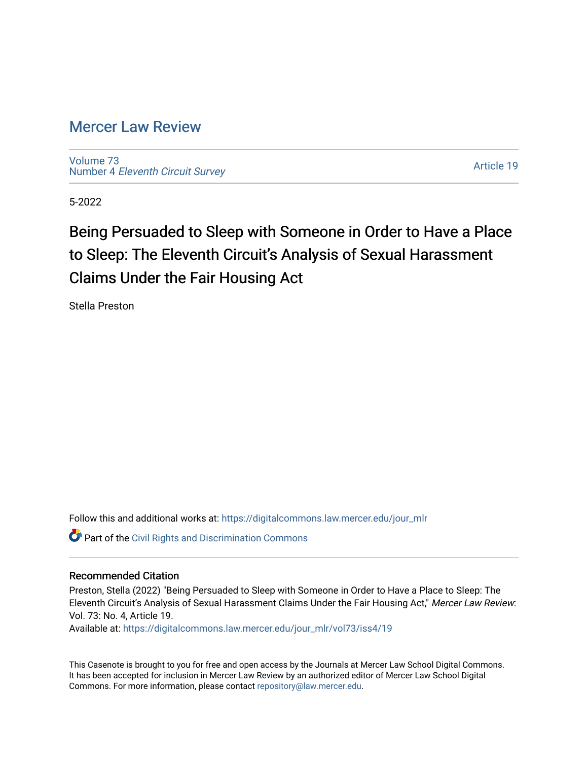# [Mercer Law Review](https://digitalcommons.law.mercer.edu/jour_mlr)

[Volume 73](https://digitalcommons.law.mercer.edu/jour_mlr/vol73) Number 4 [Eleventh Circuit Survey](https://digitalcommons.law.mercer.edu/jour_mlr/vol73/iss4) 

[Article 19](https://digitalcommons.law.mercer.edu/jour_mlr/vol73/iss4/19) 

5-2022

# Being Persuaded to Sleep with Someone in Order to Have a Place to Sleep: The Eleventh Circuit's Analysis of Sexual Harassment Claims Under the Fair Housing Act

Stella Preston

Follow this and additional works at: [https://digitalcommons.law.mercer.edu/jour\\_mlr](https://digitalcommons.law.mercer.edu/jour_mlr?utm_source=digitalcommons.law.mercer.edu%2Fjour_mlr%2Fvol73%2Fiss4%2F19&utm_medium=PDF&utm_campaign=PDFCoverPages)

**Part of the Civil Rights and Discrimination Commons** 

## Recommended Citation

Preston, Stella (2022) "Being Persuaded to Sleep with Someone in Order to Have a Place to Sleep: The Eleventh Circuit's Analysis of Sexual Harassment Claims Under the Fair Housing Act," Mercer Law Review: Vol. 73: No. 4, Article 19.

Available at: [https://digitalcommons.law.mercer.edu/jour\\_mlr/vol73/iss4/19](https://digitalcommons.law.mercer.edu/jour_mlr/vol73/iss4/19?utm_source=digitalcommons.law.mercer.edu%2Fjour_mlr%2Fvol73%2Fiss4%2F19&utm_medium=PDF&utm_campaign=PDFCoverPages) 

This Casenote is brought to you for free and open access by the Journals at Mercer Law School Digital Commons. It has been accepted for inclusion in Mercer Law Review by an authorized editor of Mercer Law School Digital Commons. For more information, please contact [repository@law.mercer.edu.](mailto:repository@law.mercer.edu)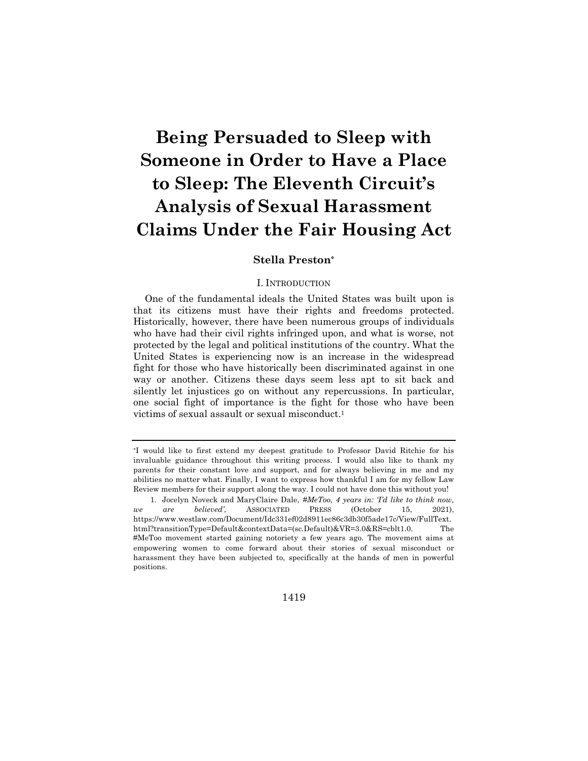# **Being Persuaded to Sleep with Someone in Order to Have a Place to Sleep: The Eleventh Circuit's Analysis of Sexual Harassment Claims Under the Fair Housing Act**

### **Stella Preston\***

#### I. INTRODUCTION

One of the fundamental ideals the United States was built upon is that its citizens must have their rights and freedoms protected. Historically, however, there have been numerous groups of individuals who have had their civil rights infringed upon, and what is worse, not protected by the legal and political institutions of the country. What the United States is experiencing now is an increase in the widespread fight for those who have historically been discriminated against in one way or another. Citizens these days seem less apt to sit back and silently let injustices go on without any repercussions. In particular, one social fight of importance is the fight for those who have been victims of sexual assault or sexual misconduct.1

1419

<sup>\*</sup>I would like to first extend my deepest gratitude to Professor David Ritchie for his invaluable guidance throughout this writing process. I would also like to thank my parents for their constant love and support, and for always believing in me and my abilities no matter what. Finally, I want to express how thankful I am for my fellow Law Review members for their support along the way. I could not have done this without you!

<sup>1.</sup> Jocelyn Noveck and MaryClaire Dale, *#MeToo, 4 years in: 'I'd like to think now, we are believed'*, ASSOCIATED PRESS (October 15, 2021), https://www.westlaw.com/Document/Idc331ef02d8911ec86c3db30f5ade17c/View/FullText. html?transitionType=Default&contextData=(sc.Default)&VR=3.0&RS=cblt1.0. The #MeToo movement started gaining notoriety a few years ago. The movement aims at empowering women to come forward about their stories of sexual misconduct or harassment they have been subjected to, specifically at the hands of men in powerful positions.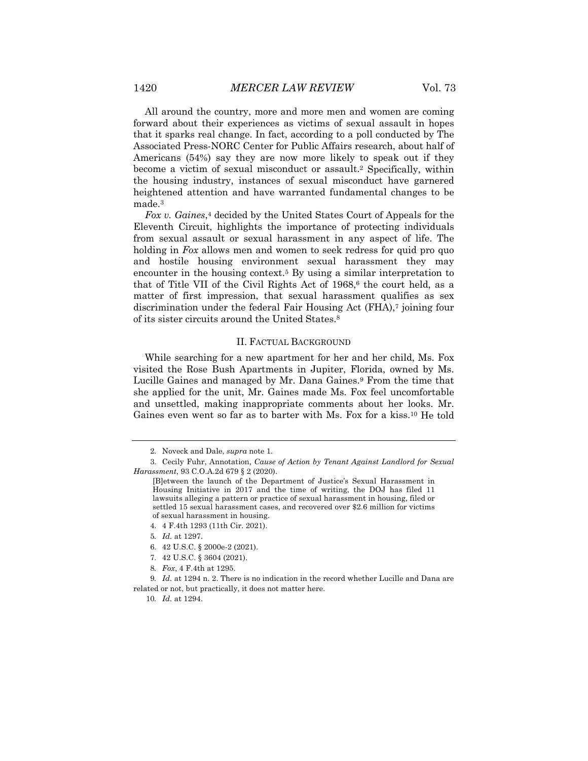All around the country, more and more men and women are coming forward about their experiences as victims of sexual assault in hopes that it sparks real change. In fact, according to a poll conducted by The Associated Press-NORC Center for Public Affairs research, about half of Americans (54%) say they are now more likely to speak out if they become a victim of sexual misconduct or assault.2 Specifically, within the housing industry, instances of sexual misconduct have garnered heightened attention and have warranted fundamental changes to be made.3

*Fox v. Gaines*,4 decided by the United States Court of Appeals for the Eleventh Circuit, highlights the importance of protecting individuals from sexual assault or sexual harassment in any aspect of life. The holding in *Fox* allows men and women to seek redress for quid pro quo and hostile housing environment sexual harassment they may encounter in the housing context.5 By using a similar interpretation to that of Title VII of the Civil Rights Act of  $1968$ ,<sup>6</sup> the court held, as a matter of first impression, that sexual harassment qualifies as sex discrimination under the federal Fair Housing Act  $(FHA)$ ,<sup>7</sup> joining four of its sister circuits around the United States.8

#### II. FACTUAL BACKGROUND

While searching for a new apartment for her and her child, Ms. Fox visited the Rose Bush Apartments in Jupiter, Florida, owned by Ms. Lucille Gaines and managed by Mr. Dana Gaines.9 From the time that she applied for the unit, Mr. Gaines made Ms. Fox feel uncomfortable and unsettled, making inappropriate comments about her looks. Mr. Gaines even went so far as to barter with Ms. Fox for a kiss.10 He told

- 7. 42 U.S.C. § 3604 (2021).
- 8*. Fox*, 4 F.4th at 1295.

<sup>2.</sup> Noveck and Dale, *supra* note 1*.*

<sup>3.</sup> Cecily Fuhr, Annotation, *Cause of Action by Tenant Against Landlord for Sexual Harassment*, 93 C.O.A.2d 679 § 2 (2020).

<sup>[</sup>B]etween the launch of the Department of Justice's Sexual Harassment in Housing Initiative in 2017 and the time of writing, the DOJ has filed 11 lawsuits alleging a pattern or practice of sexual harassment in housing, filed or settled 15 sexual harassment cases, and recovered over \$2.6 million for victims of sexual harassment in housing.

<sup>4.</sup> 4 F.4th 1293 (11th Cir. 2021).

<sup>5</sup>*. Id.* at 1297.

<sup>6.</sup> 42 U.S.C. § 2000e-2 (2021).

<sup>9</sup>*. Id.* at 1294 n. 2. There is no indication in the record whether Lucille and Dana are related or not, but practically, it does not matter here.

<sup>10</sup>*. Id.* at 1294.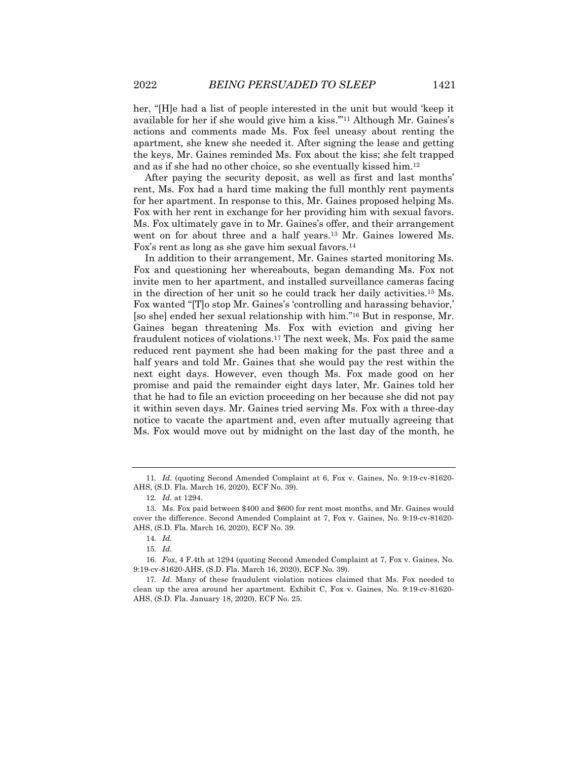her, "[H]e had a list of people interested in the unit but would 'keep it available for her if she would give him a kiss.'"11 Although Mr. Gaines's actions and comments made Ms. Fox feel uneasy about renting the apartment, she knew she needed it. After signing the lease and getting the keys, Mr. Gaines reminded Ms. Fox about the kiss; she felt trapped and as if she had no other choice, so she eventually kissed him.12

After paying the security deposit, as well as first and last months' rent, Ms. Fox had a hard time making the full monthly rent payments for her apartment. In response to this, Mr. Gaines proposed helping Ms. Fox with her rent in exchange for her providing him with sexual favors. Ms. Fox ultimately gave in to Mr. Gaines's offer, and their arrangement went on for about three and a half years.13 Mr. Gaines lowered Ms. Fox's rent as long as she gave him sexual favors.14

In addition to their arrangement, Mr. Gaines started monitoring Ms. Fox and questioning her whereabouts, began demanding Ms. Fox not invite men to her apartment, and installed surveillance cameras facing in the direction of her unit so he could track her daily activities.15 Ms. Fox wanted "[T]o stop Mr. Gaines's 'controlling and harassing behavior,' [so she] ended her sexual relationship with him."16 But in response, Mr. Gaines began threatening Ms. Fox with eviction and giving her fraudulent notices of violations.17 The next week, Ms. Fox paid the same reduced rent payment she had been making for the past three and a half years and told Mr. Gaines that she would pay the rest within the next eight days. However, even though Ms. Fox made good on her promise and paid the remainder eight days later, Mr. Gaines told her that he had to file an eviction proceeding on her because she did not pay it within seven days. Mr. Gaines tried serving Ms. Fox with a three-day notice to vacate the apartment and, even after mutually agreeing that Ms. Fox would move out by midnight on the last day of the month, he

<sup>11</sup>*. Id.* (quoting Second Amended Complaint at 6, Fox v. Gaines, No. 9:19-cv-81620- AHS, (S.D. Fla. March 16, 2020), ECF No. 39).

<sup>12</sup>*. Id.* at 1294.

<sup>13.</sup> Ms. Fox paid between \$400 and \$600 for rent most months, and Mr. Gaines would cover the difference. Second Amended Complaint at 7, Fox v. Gaines, No. 9:19-cv-81620- AHS, (S.D. Fla. March 16, 2020), ECF No. 39.

<sup>14</sup>*. Id.*

<sup>15</sup>*. Id.*

<sup>16</sup>*. Fox*, 4 F.4th at 1294 (quoting Second Amended Complaint at 7, Fox v. Gaines, No. 9:19-cv-81620-AHS, (S.D. Fla. March 16, 2020), ECF No. 39).

<sup>17</sup>*. Id.* Many of these fraudulent violation notices claimed that Ms. Fox needed to clean up the area around her apartment. Exhibit C, Fox v. Gaines, No. 9:19-cv-81620- AHS, (S.D. Fla. January 18, 2020), ECF No. 25.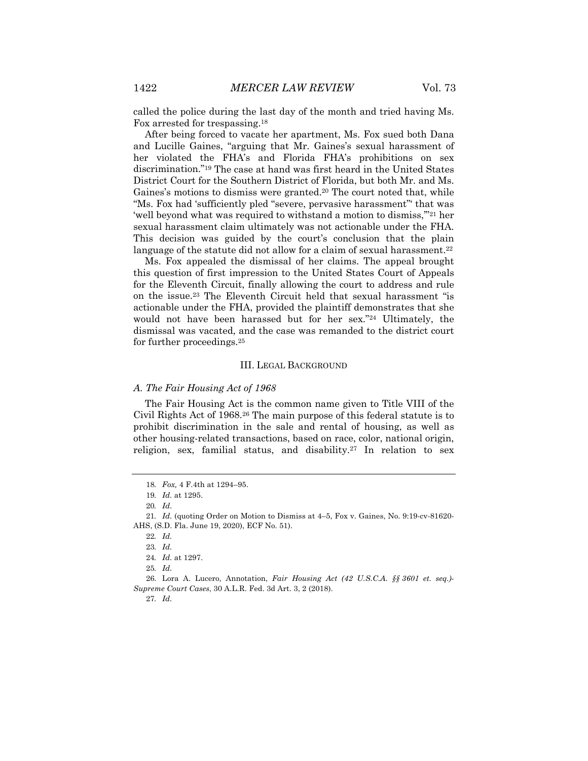called the police during the last day of the month and tried having Ms. Fox arrested for trespassing.18

After being forced to vacate her apartment, Ms. Fox sued both Dana and Lucille Gaines, "arguing that Mr. Gaines's sexual harassment of her violated the FHA's and Florida FHA's prohibitions on sex discrimination."19 The case at hand was first heard in the United States District Court for the Southern District of Florida, but both Mr. and Ms. Gaines's motions to dismiss were granted.20 The court noted that, while "Ms. Fox had 'sufficiently pled "severe, pervasive harassment"' that was 'well beyond what was required to withstand a motion to dismiss,'"21 her sexual harassment claim ultimately was not actionable under the FHA. This decision was guided by the court's conclusion that the plain language of the statute did not allow for a claim of sexual harassment.<sup>22</sup>

Ms. Fox appealed the dismissal of her claims. The appeal brought this question of first impression to the United States Court of Appeals for the Eleventh Circuit, finally allowing the court to address and rule on the issue.23 The Eleventh Circuit held that sexual harassment "is actionable under the FHA, provided the plaintiff demonstrates that she would not have been harassed but for her sex."24 Ultimately, the dismissal was vacated, and the case was remanded to the district court for further proceedings.25

#### III. LEGAL BACKGROUND

#### *A. The Fair Housing Act of 1968*

The Fair Housing Act is the common name given to Title VIII of the Civil Rights Act of 1968.26 The main purpose of this federal statute is to prohibit discrimination in the sale and rental of housing, as well as other housing-related transactions, based on race, color, national origin, religion, sex, familial status, and disability.<sup>27</sup> In relation to sex

27*. Id.*

<sup>18</sup>*. Fox,* 4 F.4th at 1294–95.

<sup>19</sup>*. Id.* at 1295.

<sup>20</sup>*. Id.*

<sup>21</sup>*. Id.* (quoting Order on Motion to Dismiss at 4–5, Fox v. Gaines, No. 9:19-cv-81620- AHS, (S.D. Fla. June 19, 2020), ECF No. 51).

<sup>22</sup>*. Id.*

<sup>23</sup>*. Id.*

<sup>24</sup>*. Id.* at 1297.

<sup>25</sup>*. Id.*

<sup>26.</sup> Lora A. Lucero, Annotation, *Fair Housing Act (42 U.S.C.A. §§ 3601 et. seq.)- Supreme Court Cases*, 30 A.L.R. Fed. 3d Art. 3, 2 (2018).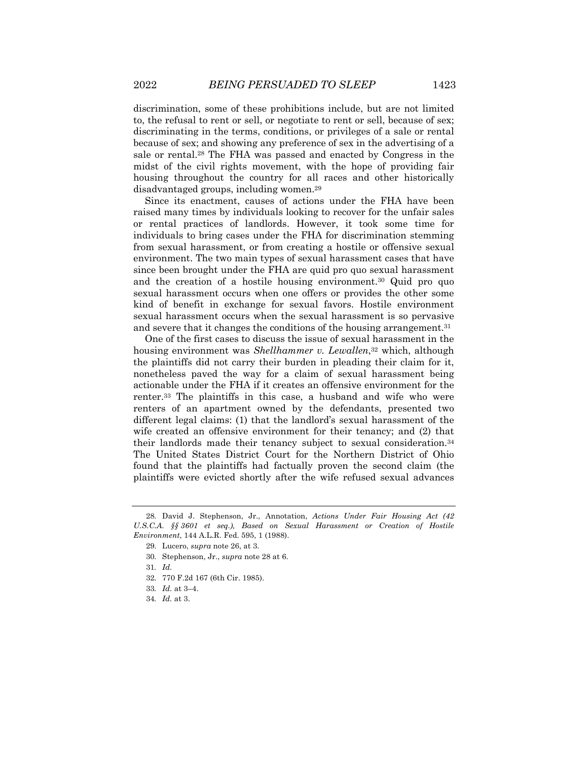discrimination, some of these prohibitions include, but are not limited to, the refusal to rent or sell, or negotiate to rent or sell, because of sex; discriminating in the terms, conditions, or privileges of a sale or rental because of sex; and showing any preference of sex in the advertising of a sale or rental.28 The FHA was passed and enacted by Congress in the midst of the civil rights movement, with the hope of providing fair housing throughout the country for all races and other historically disadvantaged groups, including women.29

Since its enactment, causes of actions under the FHA have been raised many times by individuals looking to recover for the unfair sales or rental practices of landlords. However, it took some time for individuals to bring cases under the FHA for discrimination stemming from sexual harassment, or from creating a hostile or offensive sexual environment. The two main types of sexual harassment cases that have since been brought under the FHA are quid pro quo sexual harassment and the creation of a hostile housing environment.30 Quid pro quo sexual harassment occurs when one offers or provides the other some kind of benefit in exchange for sexual favors. Hostile environment sexual harassment occurs when the sexual harassment is so pervasive and severe that it changes the conditions of the housing arrangement.31

One of the first cases to discuss the issue of sexual harassment in the housing environment was *Shellhammer v. Lewallen*,32 which, although the plaintiffs did not carry their burden in pleading their claim for it, nonetheless paved the way for a claim of sexual harassment being actionable under the FHA if it creates an offensive environment for the renter.33 The plaintiffs in this case, a husband and wife who were renters of an apartment owned by the defendants, presented two different legal claims: (1) that the landlord's sexual harassment of the wife created an offensive environment for their tenancy; and (2) that their landlords made their tenancy subject to sexual consideration.34 The United States District Court for the Northern District of Ohio found that the plaintiffs had factually proven the second claim (the plaintiffs were evicted shortly after the wife refused sexual advances

<sup>28.</sup> David J. Stephenson, Jr., Annotation, *Actions Under Fair Housing Act (42 U.S.C.A. §§ 3601 et seq.), Based on Sexual Harassment or Creation of Hostile Environment*, 144 A.L.R. Fed. 595, 1 (1988).

<sup>29.</sup> Lucero, *supra* note 26, at 3.

<sup>30.</sup> Stephenson, Jr., *supra* note 28 at 6.

<sup>31</sup>*. Id.*

<sup>32.</sup> 770 F.2d 167 (6th Cir. 1985).

<sup>33</sup>*. Id.* at 3–4.

<sup>34</sup>*. Id.* at 3.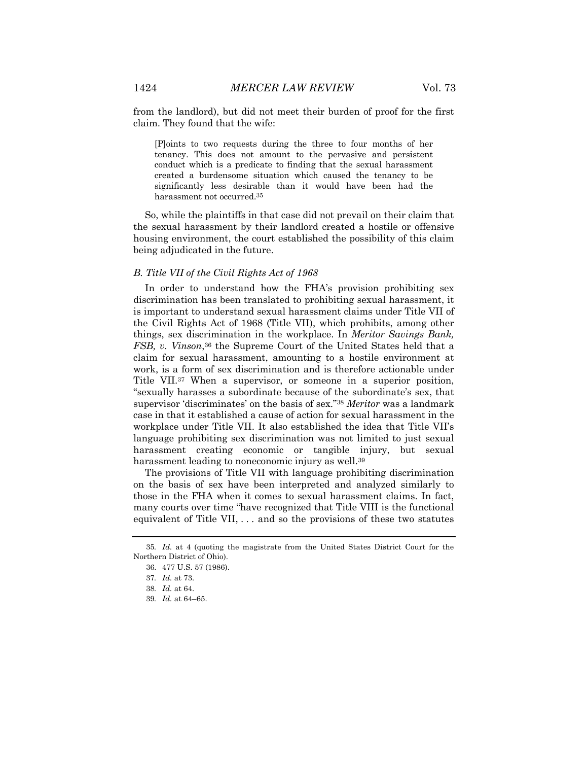from the landlord), but did not meet their burden of proof for the first claim. They found that the wife:

[P]oints to two requests during the three to four months of her tenancy. This does not amount to the pervasive and persistent conduct which is a predicate to finding that the sexual harassment created a burdensome situation which caused the tenancy to be significantly less desirable than it would have been had the harassment not occurred.35

So, while the plaintiffs in that case did not prevail on their claim that the sexual harassment by their landlord created a hostile or offensive housing environment, the court established the possibility of this claim being adjudicated in the future.

#### *B. Title VII of the Civil Rights Act of 1968*

In order to understand how the FHA's provision prohibiting sex discrimination has been translated to prohibiting sexual harassment, it is important to understand sexual harassment claims under Title VII of the Civil Rights Act of 1968 (Title VII), which prohibits, among other things, sex discrimination in the workplace. In *Meritor Savings Bank, FSB, v. Vinson*,36 the Supreme Court of the United States held that a claim for sexual harassment, amounting to a hostile environment at work, is a form of sex discrimination and is therefore actionable under Title VII.37 When a supervisor, or someone in a superior position, "sexually harasses a subordinate because of the subordinate's sex, that supervisor 'discriminates' on the basis of sex."38 *Meritor* was a landmark case in that it established a cause of action for sexual harassment in the workplace under Title VII. It also established the idea that Title VII's language prohibiting sex discrimination was not limited to just sexual harassment creating economic or tangible injury, but sexual harassment leading to noneconomic injury as well.<sup>39</sup>

The provisions of Title VII with language prohibiting discrimination on the basis of sex have been interpreted and analyzed similarly to those in the FHA when it comes to sexual harassment claims. In fact, many courts over time "have recognized that Title VIII is the functional equivalent of Title VII, . . . and so the provisions of these two statutes

<sup>35</sup>*. Id.* at 4 (quoting the magistrate from the United States District Court for the Northern District of Ohio).

<sup>36.</sup> 477 U.S. 57 (1986).

<sup>37</sup>*. Id.* at 73.

<sup>38</sup>*. Id.* at 64.

<sup>39</sup>*. Id.* at 64–65.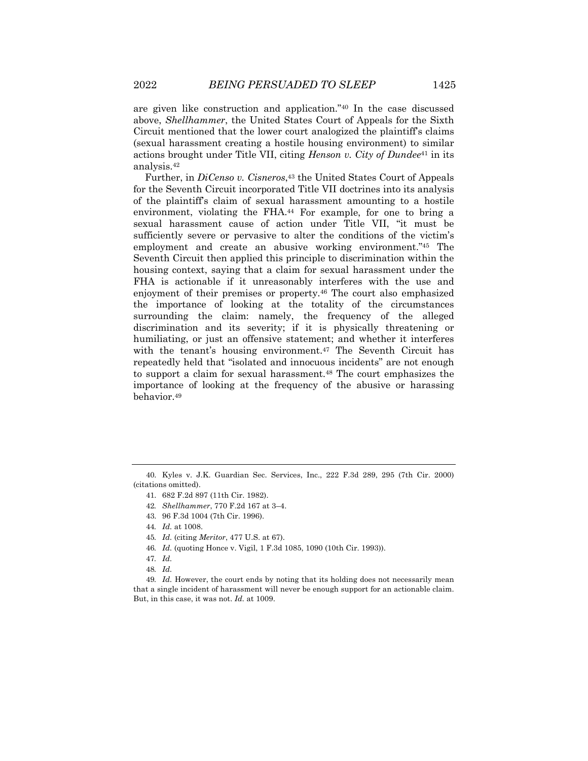are given like construction and application."40 In the case discussed above, *Shellhammer*, the United States Court of Appeals for the Sixth Circuit mentioned that the lower court analogized the plaintiff's claims (sexual harassment creating a hostile housing environment) to similar actions brought under Title VII, citing *Henson v. City of Dundee*<sup>41</sup> in its analysis.42

Further, in *DiCenso v. Cisneros*,<sup>43</sup> the United States Court of Appeals for the Seventh Circuit incorporated Title VII doctrines into its analysis of the plaintiff's claim of sexual harassment amounting to a hostile environment, violating the FHA.44 For example, for one to bring a sexual harassment cause of action under Title VII, "it must be sufficiently severe or pervasive to alter the conditions of the victim's employment and create an abusive working environment."<sup>45</sup> The Seventh Circuit then applied this principle to discrimination within the housing context, saying that a claim for sexual harassment under the FHA is actionable if it unreasonably interferes with the use and enjoyment of their premises or property.46 The court also emphasized the importance of looking at the totality of the circumstances surrounding the claim: namely, the frequency of the alleged discrimination and its severity; if it is physically threatening or humiliating, or just an offensive statement; and whether it interferes with the tenant's housing environment.<sup>47</sup> The Seventh Circuit has repeatedly held that "isolated and innocuous incidents" are not enough to support a claim for sexual harassment.48 The court emphasizes the importance of looking at the frequency of the abusive or harassing behavior.49

46*. Id.* (quoting Honce v. Vigil, 1 F.3d 1085, 1090 (10th Cir. 1993)).

<sup>40.</sup> Kyles v. J.K. Guardian Sec. Services, Inc., 222 F.3d 289, 295 (7th Cir. 2000) (citations omitted).

<sup>41.</sup> 682 F.2d 897 (11th Cir. 1982).

<sup>42</sup>*. Shellhammer*, 770 F.2d 167 at 3–4.

<sup>43.</sup> 96 F.3d 1004 (7th Cir. 1996).

<sup>44</sup>*. Id.* at 1008.

<sup>45</sup>*. Id.* (citing *Meritor*, 477 U.S. at 67).

<sup>47</sup>*. Id.*

<sup>48</sup>*. Id.*

<sup>49</sup>*. Id.* However, the court ends by noting that its holding does not necessarily mean that a single incident of harassment will never be enough support for an actionable claim. But, in this case, it was not. *Id.* at 1009.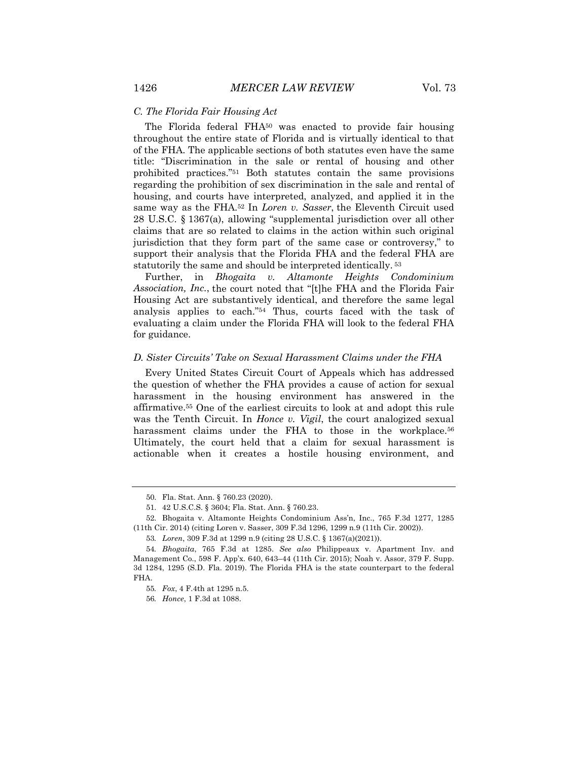The Florida federal FHA<sup>50</sup> was enacted to provide fair housing throughout the entire state of Florida and is virtually identical to that of the FHA. The applicable sections of both statutes even have the same title: "Discrimination in the sale or rental of housing and other prohibited practices."51 Both statutes contain the same provisions regarding the prohibition of sex discrimination in the sale and rental of housing, and courts have interpreted, analyzed, and applied it in the same way as the FHA.52 In *Loren v. Sasser*, the Eleventh Circuit used 28 U.S.C. § 1367(a), allowing "supplemental jurisdiction over all other claims that are so related to claims in the action within such original jurisdiction that they form part of the same case or controversy," to support their analysis that the Florida FHA and the federal FHA are statutorily the same and should be interpreted identically. <sup>53</sup>

Further, in *Bhogaita v. Altamonte Heights Condominium Association, Inc.*, the court noted that "[t]he FHA and the Florida Fair Housing Act are substantively identical, and therefore the same legal analysis applies to each."54 Thus, courts faced with the task of evaluating a claim under the Florida FHA will look to the federal FHA for guidance.

#### *D. Sister Circuits' Take on Sexual Harassment Claims under the FHA*

Every United States Circuit Court of Appeals which has addressed the question of whether the FHA provides a cause of action for sexual harassment in the housing environment has answered in the affirmative.55 One of the earliest circuits to look at and adopt this rule was the Tenth Circuit. In *Honce v. Vigil*, the court analogized sexual harassment claims under the FHA to those in the workplace.<sup>56</sup> Ultimately, the court held that a claim for sexual harassment is actionable when it creates a hostile housing environment, and

<sup>50.</sup> Fla. Stat. Ann. § 760.23 (2020).

<sup>51.</sup> 42 U.S.C.S. § 3604; Fla. Stat. Ann. § 760.23.

<sup>52.</sup> Bhogaita v. Altamonte Heights Condominium Ass'n, Inc., 765 F.3d 1277, 1285 (11th Cir. 2014) (citing Loren v. Sasser, 309 F.3d 1296, 1299 n.9 (11th Cir. 2002)).

<sup>53</sup>*. Loren*, 309 F.3d at 1299 n.9 (citing 28 U.S.C. § 1367(a)(2021)).

<sup>54</sup>*. Bhogaita*, 765 F.3d at 1285. *See also* Philippeaux v. Apartment Inv. and Management Co., 598 F. App'x. 640, 643–44 (11th Cir. 2015); Noah v. Assor, 379 F. Supp. 3d 1284, 1295 (S.D. Fla. 2019). The Florida FHA is the state counterpart to the federal FHA.

<sup>55</sup>*. Fox*, 4 F.4th at 1295 n.5.

<sup>56</sup>*. Honce*, 1 F.3d at 1088.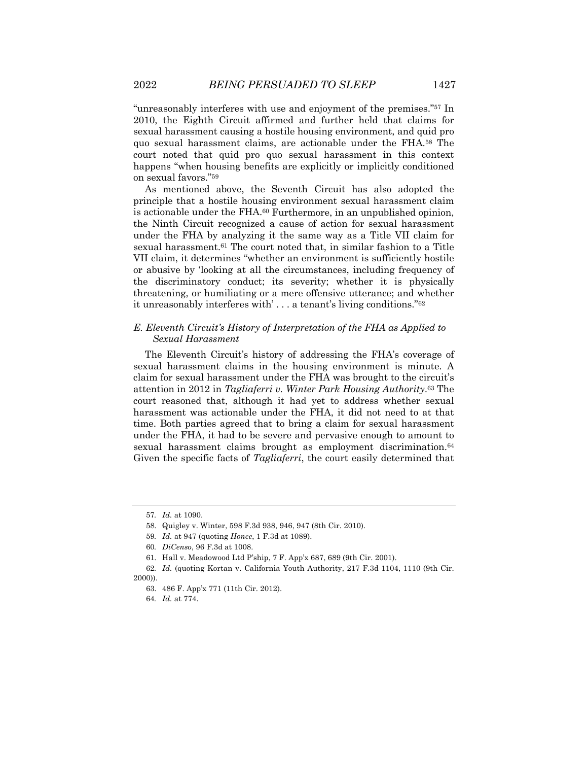"unreasonably interferes with use and enjoyment of the premises."57 In 2010, the Eighth Circuit affirmed and further held that claims for sexual harassment causing a hostile housing environment, and quid pro quo sexual harassment claims, are actionable under the FHA.58 The court noted that quid pro quo sexual harassment in this context happens "when housing benefits are explicitly or implicitly conditioned on sexual favors."59

As mentioned above, the Seventh Circuit has also adopted the principle that a hostile housing environment sexual harassment claim is actionable under the FHA.60 Furthermore, in an unpublished opinion, the Ninth Circuit recognized a cause of action for sexual harassment under the FHA by analyzing it the same way as a Title VII claim for sexual harassment.61 The court noted that, in similar fashion to a Title VII claim, it determines "whether an environment is sufficiently hostile or abusive by 'looking at all the circumstances, including frequency of the discriminatory conduct; its severity; whether it is physically threatening, or humiliating or a mere offensive utterance; and whether it unreasonably interferes with' . . . a tenant's living conditions."62

### *E. Eleventh Circuit's History of Interpretation of the FHA as Applied to Sexual Harassment*

The Eleventh Circuit's history of addressing the FHA's coverage of sexual harassment claims in the housing environment is minute. A claim for sexual harassment under the FHA was brought to the circuit's attention in 2012 in *Tagliaferri v. Winter Park Housing Authority*.63 The court reasoned that, although it had yet to address whether sexual harassment was actionable under the FHA, it did not need to at that time. Both parties agreed that to bring a claim for sexual harassment under the FHA, it had to be severe and pervasive enough to amount to sexual harassment claims brought as employment discrimination.<sup>64</sup> Given the specific facts of *Tagliaferri*, the court easily determined that

<sup>57</sup>*. Id.* at 1090.

<sup>58.</sup> Quigley v. Winter, 598 F.3d 938, 946, 947 (8th Cir. 2010).

<sup>59</sup>*. Id.* at 947 (quoting *Honce*, 1 F.3d at 1089).

<sup>60</sup>*. DiCenso*, 96 F.3d at 1008.

<sup>61.</sup> Hall v. Meadowood Ltd P'ship, 7 F. App'x 687, 689 (9th Cir. 2001).

<sup>62</sup>*. Id.* (quoting Kortan v. California Youth Authority, 217 F.3d 1104, 1110 (9th Cir. 2000)).

<sup>63.</sup> 486 F. App'x 771 (11th Cir. 2012).

<sup>64</sup>*. Id.* at 774.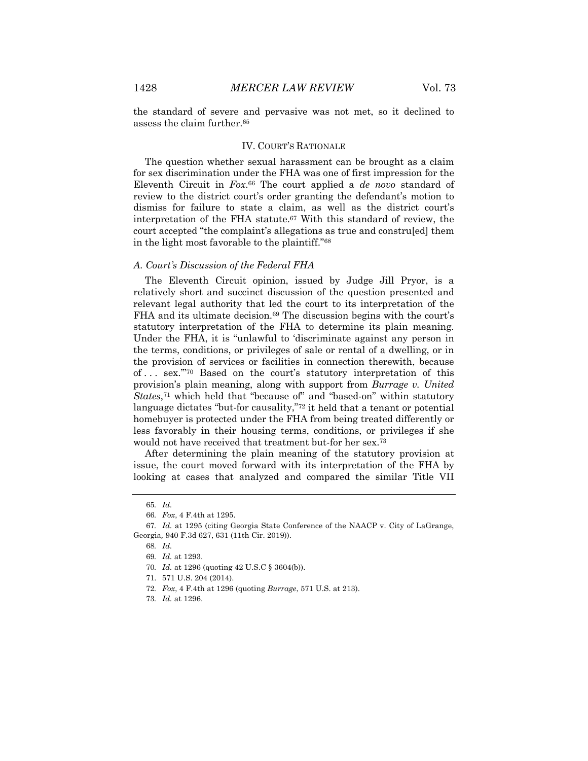the standard of severe and pervasive was not met, so it declined to assess the claim further.65

#### IV. COURT'S RATIONALE

The question whether sexual harassment can be brought as a claim for sex discrimination under the FHA was one of first impression for the Eleventh Circuit in *Fox*.66 The court applied a *de novo* standard of review to the district court's order granting the defendant's motion to dismiss for failure to state a claim, as well as the district court's interpretation of the FHA statute.67 With this standard of review, the court accepted "the complaint's allegations as true and constru[ed] them in the light most favorable to the plaintiff."68

#### *A. Court's Discussion of the Federal FHA*

The Eleventh Circuit opinion, issued by Judge Jill Pryor, is a relatively short and succinct discussion of the question presented and relevant legal authority that led the court to its interpretation of the FHA and its ultimate decision.<sup>69</sup> The discussion begins with the court's statutory interpretation of the FHA to determine its plain meaning. Under the FHA, it is "unlawful to 'discriminate against any person in the terms, conditions, or privileges of sale or rental of a dwelling, or in the provision of services or facilities in connection therewith, because of . . . sex.'"70 Based on the court's statutory interpretation of this provision's plain meaning, along with support from *Burrage v. United States*,71 which held that "because of" and "based-on" within statutory language dictates "but-for causality,"72 it held that a tenant or potential homebuyer is protected under the FHA from being treated differently or less favorably in their housing terms, conditions, or privileges if she would not have received that treatment but-for her sex.73

After determining the plain meaning of the statutory provision at issue, the court moved forward with its interpretation of the FHA by looking at cases that analyzed and compared the similar Title VII

72*. Fox*, 4 F.4th at 1296 (quoting *Burrage*, 571 U.S. at 213).

<sup>65</sup>*. Id.*

<sup>66</sup>*. Fox*, 4 F.4th at 1295.

<sup>67</sup>*. Id.* at 1295 (citing Georgia State Conference of the NAACP v. City of LaGrange, Georgia*,* 940 F.3d 627, 631 (11th Cir. 2019)).

<sup>68</sup>*. Id.*

<sup>69</sup>*. Id.* at 1293.

<sup>70</sup>*. Id.* at 1296 (quoting 42 U.S.C § 3604(b)).

<sup>71.</sup> 571 U.S. 204 (2014).

<sup>73</sup>*. Id.* at 1296.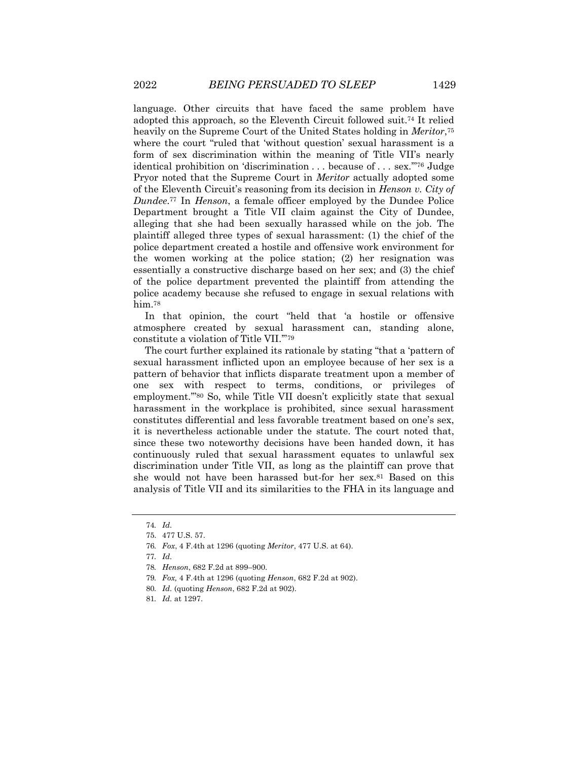language. Other circuits that have faced the same problem have adopted this approach, so the Eleventh Circuit followed suit.74 It relied heavily on the Supreme Court of the United States holding in *Meritor*,75 where the court "ruled that 'without question' sexual harassment is a form of sex discrimination within the meaning of Title VII's nearly identical prohibition on 'discrimination . . . because of . . . sex.'"76 Judge Pryor noted that the Supreme Court in *Meritor* actually adopted some of the Eleventh Circuit's reasoning from its decision in *Henson v. City of Dundee*.77 In *Henson*, a female officer employed by the Dundee Police Department brought a Title VII claim against the City of Dundee, alleging that she had been sexually harassed while on the job. The plaintiff alleged three types of sexual harassment: (1) the chief of the police department created a hostile and offensive work environment for the women working at the police station; (2) her resignation was essentially a constructive discharge based on her sex; and (3) the chief of the police department prevented the plaintiff from attending the police academy because she refused to engage in sexual relations with him.<sup>78</sup>

In that opinion, the court "held that 'a hostile or offensive atmosphere created by sexual harassment can, standing alone, constitute a violation of Title VII.'"79

The court further explained its rationale by stating "that a 'pattern of sexual harassment inflicted upon an employee because of her sex is a pattern of behavior that inflicts disparate treatment upon a member of one sex with respect to terms, conditions, or privileges of employment.'"80 So, while Title VII doesn't explicitly state that sexual harassment in the workplace is prohibited, since sexual harassment constitutes differential and less favorable treatment based on one's sex, it is nevertheless actionable under the statute. The court noted that, since these two noteworthy decisions have been handed down, it has continuously ruled that sexual harassment equates to unlawful sex discrimination under Title VII, as long as the plaintiff can prove that she would not have been harassed but-for her sex.81 Based on this analysis of Title VII and its similarities to the FHA in its language and

- 79*. Fox,* 4 F.4th at 1296 (quoting *Henson*, 682 F.2d at 902).
- 80*. Id.* (quoting *Henson*, 682 F.2d at 902).

<sup>74</sup>*. Id.*

<sup>75.</sup> 477 U.S. 57.

<sup>76</sup>*. Fox*, 4 F.4th at 1296 (quoting *Meritor*, 477 U.S. at 64).

<sup>77</sup>*. Id.*

<sup>78</sup>*. Henson*, 682 F.2d at 899–900.

<sup>81</sup>*. Id.* at 1297.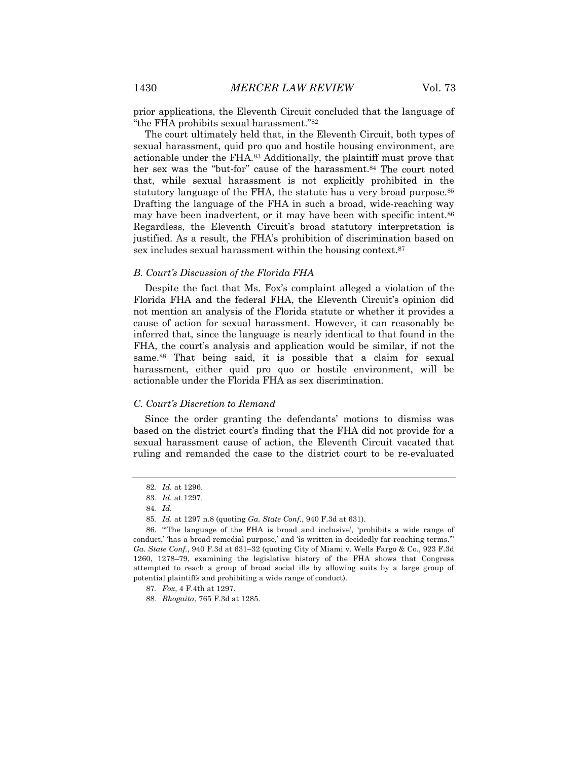prior applications, the Eleventh Circuit concluded that the language of "the FHA prohibits sexual harassment."82

The court ultimately held that, in the Eleventh Circuit, both types of sexual harassment, quid pro quo and hostile housing environment, are actionable under the FHA.83 Additionally, the plaintiff must prove that her sex was the "but-for" cause of the harassment.<sup>84</sup> The court noted that, while sexual harassment is not explicitly prohibited in the statutory language of the FHA, the statute has a very broad purpose.<sup>85</sup> Drafting the language of the FHA in such a broad, wide-reaching way may have been inadvertent, or it may have been with specific intent.<sup>86</sup> Regardless, the Eleventh Circuit's broad statutory interpretation is justified. As a result, the FHA's prohibition of discrimination based on sex includes sexual harassment within the housing context.<sup>87</sup>

#### *B. Court's Discussion of the Florida FHA*

Despite the fact that Ms. Fox's complaint alleged a violation of the Florida FHA and the federal FHA, the Eleventh Circuit's opinion did not mention an analysis of the Florida statute or whether it provides a cause of action for sexual harassment. However, it can reasonably be inferred that, since the language is nearly identical to that found in the FHA, the court's analysis and application would be similar, if not the same.<sup>88</sup> That being said, it is possible that a claim for sexual harassment, either quid pro quo or hostile environment, will be actionable under the Florida FHA as sex discrimination.

#### *C. Court's Discretion to Remand*

Since the order granting the defendants' motions to dismiss was based on the district court's finding that the FHA did not provide for a sexual harassment cause of action, the Eleventh Circuit vacated that ruling and remanded the case to the district court to be re-evaluated

<sup>82</sup>*. Id.* at 1296.

<sup>83</sup>*. Id.* at 1297.

<sup>84</sup>*. Id.*

<sup>85</sup>*. Id.* at 1297 n.8 (quoting *Ga. State Conf.*, 940 F.3d at 631).

<sup>86.</sup> "'The language of the FHA is broad and inclusive', 'prohibits a wide range of conduct,' 'has a broad remedial purpose,' and 'is written in decidedly far-reaching terms.'" *Ga. State Conf.*, 940 F.3d at 631–32 (quoting City of Miami v. Wells Fargo & Co., 923 F.3d 1260, 1278–79, examining the legislative history of the FHA shows that Congress attempted to reach a group of broad social ills by allowing suits by a large group of potential plaintiffs and prohibiting a wide range of conduct).

<sup>87</sup>*. Fox*, 4 F.4th at 1297.

<sup>88</sup>*. Bhogaita*, 765 F.3d at 1285.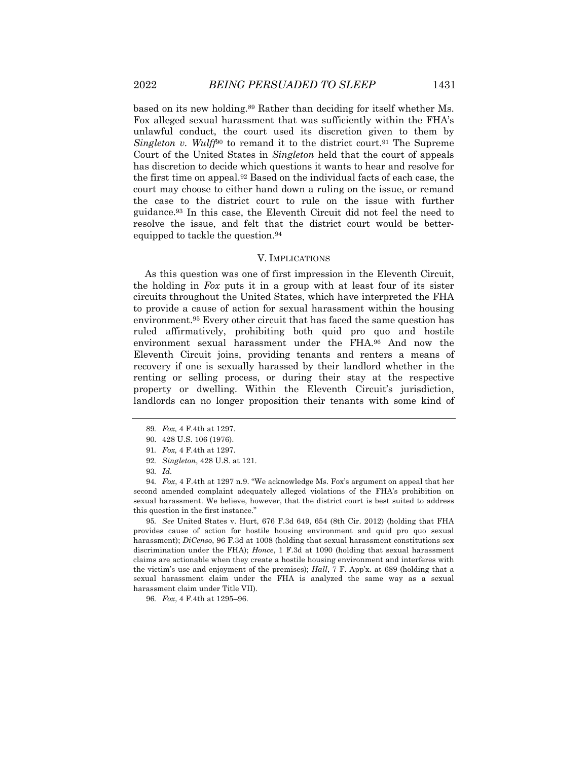based on its new holding.89 Rather than deciding for itself whether Ms. Fox alleged sexual harassment that was sufficiently within the FHA's unlawful conduct, the court used its discretion given to them by *Singleton v. Wulff*<sup>90</sup> to remand it to the district court.<sup>91</sup> The Supreme Court of the United States in *Singleton* held that the court of appeals has discretion to decide which questions it wants to hear and resolve for the first time on appeal.92 Based on the individual facts of each case, the court may choose to either hand down a ruling on the issue, or remand the case to the district court to rule on the issue with further guidance.93 In this case, the Eleventh Circuit did not feel the need to resolve the issue, and felt that the district court would be betterequipped to tackle the question.94

#### V. IMPLICATIONS

As this question was one of first impression in the Eleventh Circuit, the holding in *Fox* puts it in a group with at least four of its sister circuits throughout the United States, which have interpreted the FHA to provide a cause of action for sexual harassment within the housing environment.95 Every other circuit that has faced the same question has ruled affirmatively, prohibiting both quid pro quo and hostile environment sexual harassment under the FHA.96 And now the Eleventh Circuit joins, providing tenants and renters a means of recovery if one is sexually harassed by their landlord whether in the renting or selling process, or during their stay at the respective property or dwelling. Within the Eleventh Circuit's jurisdiction, landlords can no longer proposition their tenants with some kind of

94*. Fox*, 4 F.4th at 1297 n.9. "We acknowledge Ms. Fox's argument on appeal that her second amended complaint adequately alleged violations of the FHA's prohibition on sexual harassment. We believe, however, that the district court is best suited to address this question in the first instance."

95*. See* United States v. Hurt, 676 F.3d 649, 654 (8th Cir. 2012) (holding that FHA provides cause of action for hostile housing environment and quid pro quo sexual harassment); *DiCenso*, 96 F.3d at 1008 (holding that sexual harassment constitutions sex discrimination under the FHA); *Honce*, 1 F.3d at 1090 (holding that sexual harassment claims are actionable when they create a hostile housing environment and interferes with the victim's use and enjoyment of the premises); *Hall*, 7 F. App'x. at 689 (holding that a sexual harassment claim under the FHA is analyzed the same way as a sexual harassment claim under Title VII).

96*. Fox*, 4 F.4th at 1295–96.

<sup>89</sup>*. Fox,* 4 F.4th at 1297.

<sup>90.</sup> 428 U.S. 106 (1976).

<sup>91</sup>*. Fox,* 4 F.4th at 1297.

<sup>92</sup>*. Singleton*, 428 U.S. at 121.

<sup>93</sup>*. Id.*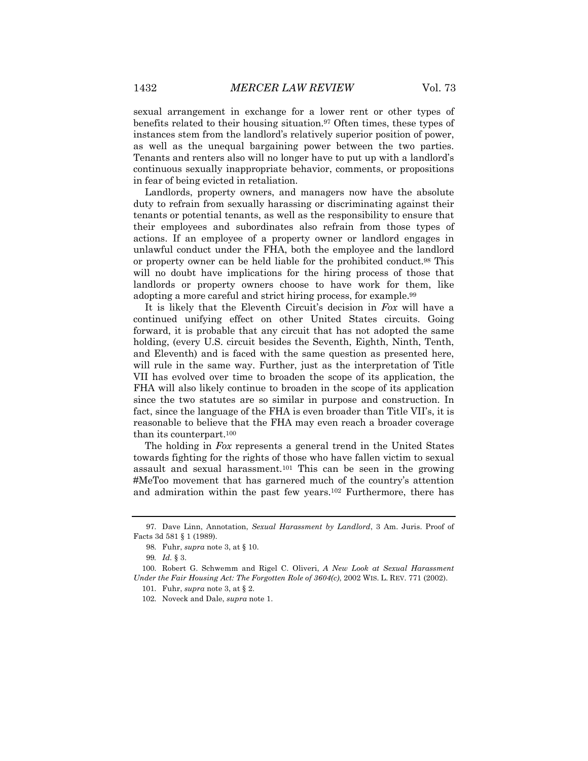sexual arrangement in exchange for a lower rent or other types of benefits related to their housing situation.97 Often times, these types of instances stem from the landlord's relatively superior position of power, as well as the unequal bargaining power between the two parties. Tenants and renters also will no longer have to put up with a landlord's continuous sexually inappropriate behavior, comments, or propositions in fear of being evicted in retaliation.

Landlords, property owners, and managers now have the absolute duty to refrain from sexually harassing or discriminating against their tenants or potential tenants, as well as the responsibility to ensure that their employees and subordinates also refrain from those types of actions. If an employee of a property owner or landlord engages in unlawful conduct under the FHA, both the employee and the landlord or property owner can be held liable for the prohibited conduct.98 This will no doubt have implications for the hiring process of those that landlords or property owners choose to have work for them, like adopting a more careful and strict hiring process, for example.99

It is likely that the Eleventh Circuit's decision in *Fox* will have a continued unifying effect on other United States circuits. Going forward, it is probable that any circuit that has not adopted the same holding, (every U.S. circuit besides the Seventh, Eighth, Ninth, Tenth, and Eleventh) and is faced with the same question as presented here, will rule in the same way. Further, just as the interpretation of Title VII has evolved over time to broaden the scope of its application, the FHA will also likely continue to broaden in the scope of its application since the two statutes are so similar in purpose and construction. In fact, since the language of the FHA is even broader than Title VII's, it is reasonable to believe that the FHA may even reach a broader coverage than its counterpart.100

The holding in *Fox* represents a general trend in the United States towards fighting for the rights of those who have fallen victim to sexual assault and sexual harassment.<sup>101</sup> This can be seen in the growing #MeToo movement that has garnered much of the country's attention and admiration within the past few years.102 Furthermore, there has

<sup>97.</sup> Dave Linn, Annotation, *Sexual Harassment by Landlord*, 3 Am. Juris. Proof of Facts 3d 581 § 1 (1989).

<sup>98.</sup> Fuhr, *supra* note 3, at § 10.

<sup>99</sup>*. Id.* § 3.

<sup>100.</sup> Robert G. Schwemm and Rigel C. Oliveri, *A New Look at Sexual Harassment Under the Fair Housing Act: The Forgotten Role of 3604(c)*, 2002 WIS. L. REV. 771 (2002).

<sup>101.</sup> Fuhr, *supra* note 3, at § 2.

<sup>102.</sup> Noveck and Dale, *supra* note 1.